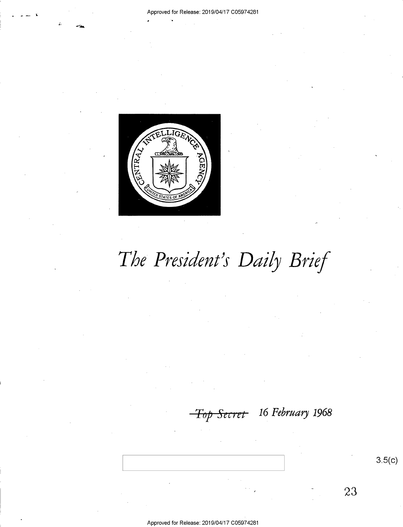

# The President's Daily Brief

Approved for Release: 2019/04/17 C05974281

<del>Top Secret</del> 16 February 1968

23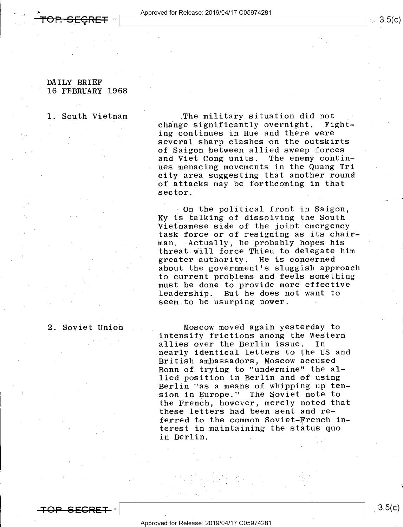## DAILY BRIEF 16 FEBRUARY 1968

### 1. South Vietnam

The military situation did not<br>e significantly overnight. Fightchange significantly overnight. ing continues in Hue and there were several sharp clashes on the outskirts of Saigon between allied sweep forces<br>and Viet Cong units. The enemy continand Viet Cong units. ues menacing movements in the Quang Tri city area suggesting that another round of attacks may be forthcoming in that sector.

On the political front in Saigon, Ky is talking of dissolving the South Vietnamese side of the joint emergency task force or of resigning as its chairman.. Actually, he probably hopes his threat will force Thieu to delegate him greater authority. He is concerned about the government's sluggish approach to current problems and feels something must be done to provide more effective leadership. But he does not want to seem to be usurping power.

Moscow moved again yesterday to intensify frictions among the Western<br>allies over the Berlin issue. In allies over the Berlin issue. nearly identical letters to the US and British ambassadors, Moscow accused Bonn of.trying to "undermine" the allied position in Berlin and of using Berlin "as a means of whipping up tension in Europe." The Soviet note to the French, however, merely noted that these letters had been sent and referred to the common Soviet-French interest in maintaining the status quo in Berlin.

2. Soviet Union

 $3.5(c)$ 

 $\mathcal{L}_{\mathcal{L}}$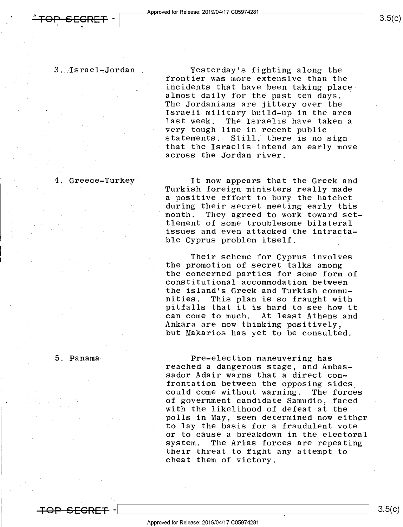3. Israel—Jordan . Yesterday's fighting along the frontier was more extensive than the incidents that have been taking placealmost daily for the past ten days. The Jordanians are jittery over the Israeli military build-up in the area<br>last week. The Israelis have taken a The Israelis have taken a very tough line in recent public statements. Still; there is no sign that the Israelis intend an early move across the Jordan river.

4. Greece-Turkey It now appears that the Greek and Turkish foreign ministers really made a positive effort to bury the hatchet during their secret meeting early this<br>""month. They agreed to work toward set They agreed to work toward settlement of some troublesome bilateral issues and even attacked the intractable Cyprus problem itself.

> Their scheme for Cyprus involves the promotion of secret talks among the concerned parties for some form of constitutional accommodation between the island's Greek and Turkish commu-<br>nities. This plan is so fraught with This plan is so fraught with pitfalls that it is hard to see how it can come to much. At least Athens and Ankara are now thinking positively, but Makarios has yet to be consulted.

5. Panama Pre-election maneuvering has<br>- reached a dangerous stage, and Ambas sador Adair warns that a direct confrontation between the opposing sides\_ could come without warning. The forces of government candidate Samudio, faced with the likelihood of defeat at the polls in May, seem determined now either to lay the basis for a fraudulent vote or to cause a breakdown in the electoral<br>system. The Arias forces are repeating The Arias forces are repeating their threat to fight any attempt to cheat them of victory.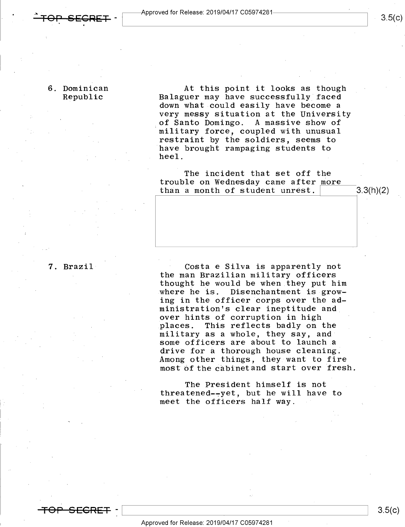Approved for Release: 2019/04/17 C05974281-

6. Dominican at this point it looks as though<br>Republic Balaguer may have successfully faced Balaguer may have successfully faced down what could easily have become a very messy situation at the University of Santo Domingo. A massive show of military force, coupled with unusual restraint by the soldiers, seems to have brought rampaging students to heel.

> The incident that set off the trouble on Wednesday came after more than a month of student unrest.  $\vert$  3.3(h)(2)

7. Brazil **The Costantian Costantifical** Costa e Silva is apparently not the man Brazilian military officers thought he would be when they put him where he is. Disenchantment is growing in the officer corps over the administration's clear ineptitude and over hints of corruption in high<br>places. This reflects badly on This reflects badly on the military as a whole, they say, and' some officers are about to launch a drive for a thorough house cleaning. Among other things, they want to fire most of the cabinet and start over fresh.

> The President himself is not threatened-¢yet, but he will have to meet the officers half way.

s.5(¢)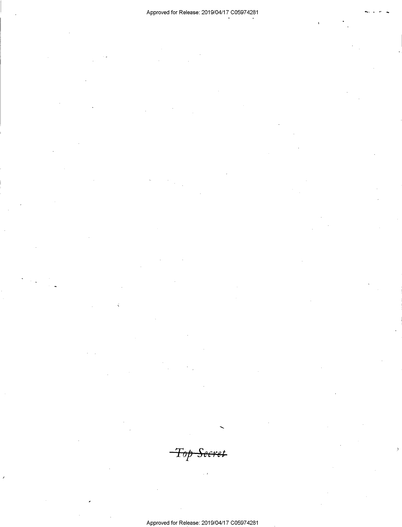$\neg$ Top Secret

Approved for Release: 2019/04/17 C05974281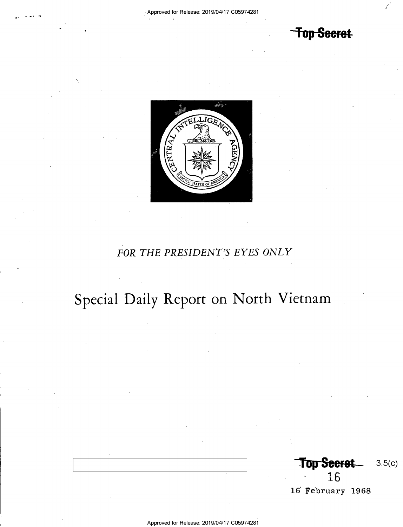Top Secret



## FOR THE PRESIDENT'S EYES ONLY

## Special Daily Report on North Vietnam

**Top Seeret**  $3.5(c)$ 16

16 February 1968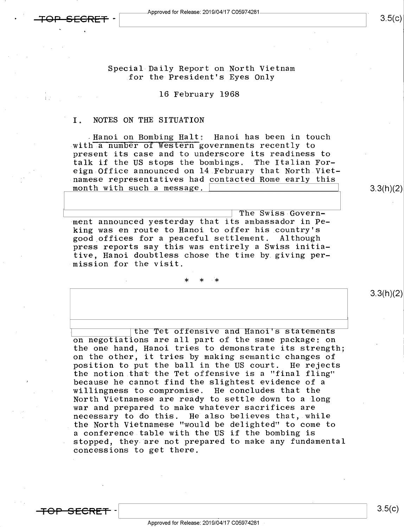$3.5(c)$ 

3.3(h)(2)

3.3(h)(2)

Special Daily Report on North Vietnam for the President's Eyes Only

### 16 February 1968

### I. NOTES ON THE SITUATION

.Hanoi on Bombing Halt: Hanoi has been in touch with a number of Western governments recently to present its case and to underscore its readiness to talk if the US stops the bombings. The Italian Foreign-Office announced on l4 February that North Vietnamese representatives had contacted Rome early this month with such a message.

**1. The Swiss Govern-** The Swiss Government announced yesterday that its ambassador in Peking was en route to Hanoi to offer his country's good\_offices for a peaceful settlement. Although press reports say this was entirely a Swiss initiative, Hanoi doubtless chose the time by giving permission for the visit.

the Tet offensive and Hanoi's statements on negotiations are all part of the same package: on the one hand, Hanoi tries to demonstrate its strength; on the other, it tries by making semantic changes of position to put the ball in the US court. He rejects the notion that the Tet offensive is a "final fling" because he cannot find the slightest evidence of a willingness to compromise. He concludes that the North Vietnamese are ready to settle down to a long war and prepared to make whatever sacrifices are necessary to do this. He also believes that, while the North Vietnamese "would be delighted" to come to <sup>a</sup>conference table with the US if the bombing is - stopped, they are not prepared to make any fundamental concessions to get there.

TOP SECRET

 $\mathcal{L}_{\mathcal{A}}$  yields the set of the set of the set of the set of the set of the set of the set of the set of the set of the set of the set of the set of the set of the set of the set of the set of the set of the set of t

 $3.5(c)$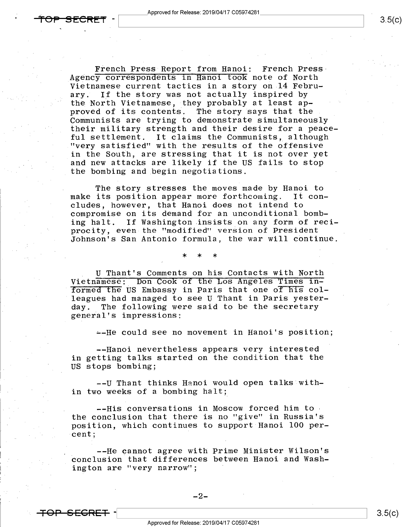French Press Report from Hanoi: French Press-Agency correspondents in Hanoi took note of North Vietnamese current tactics in a story on 14 Febru-<br>ary. If the story was not actually inspired by If the story was not actually inspired by the North Vietnamese, they probably at least approved of its contents. The story says that the Communists are trying to demonstrate simultaneously their military strength and their desire for a peaceful settlement. It claims the Communists, although "very satisfied" with the results of the offensive in the South, are stressing that it is not over yet and new attacks are likely if the US fails to stop the bombing and begin negotiations.

The story stresses the moves made by Hanoi to make its position appear more forthcoming. It concludes, however, that Hanoi does not intend to compromise on its demand for an unconditional bombing halt. If Washington insists on any form of reciprocity, even the "modified" version of President Johnson's San Antonio formula, the war will continue.

 $*$   $*$   $*$ 

U Thant's Comments on his Contacts with North<br>Vietnamese: Don Cook of the Los Angeles Times informed the US Embassy in Paris that one of his colleagues had managed to see U Thant in Paris yester-<br>day. The following were said to be the secretary The following were said to be the secretary general's impressions:

--He could see no movement in Hanoi's position;

--Hanoi nevertheless appears very interested in getting talks started on the condition that the US stops bombing;

—-U Thant thinks Hanoi would open talks within two weeks of a bombing halt;

-—His conversations in Moscow forced him tothe conclusion that there is no "give" in Russia's . position, which continues to support Hanoi 100 percent;

--He cannot agree with Prime Minister Wilson's conclusion that differences between Hanoi and Washington are "very narrow";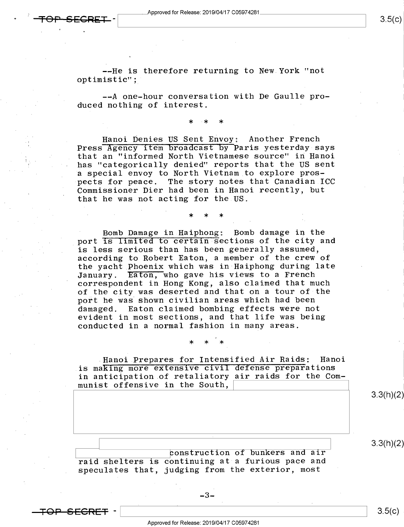$\leftarrow$ FOP—SECRET  $\cdot$  Approved for Release: 2019/04/17 C05974281  $\qquad \qquad \qquad$  3.5(c)

--He is therefore returning to New.York "not optimistic";

--A one-hour conversation with De Gaulle produced nothing of interest.

. \* .\* \*

' ' \* \* \*

Hanoi Denies US Sent Envoy: Another French Press Agency item broadcast by Paris yesterday says that an "informed North Vietnamese source" in Hanoi has "categorically denied" reports that the US sent a special envoy to North Vietnam to explore prospects for peace. The story notes that Canadian ICC Commissioner Dier had been in Hanoi recently, but that he was not acting for the US.

' Bomb Damage in Haiphong: Bomb damage in the port is limited to certain sections of the city and is less serious than has been generally assumed, according to Robert Eaton, a member of the crew of the yacht Phoenix which was in Haiphong during late<br>January. Eaton, who gave his views to a French Eaton, who gave his views to a French correspondent in Hong Kong, also claimed that much of the city was deserted and that on a tour of the port he was shown civilian areas which had been damaged. Eaton claimed bombing effects were not evident in most sections, and that life was being conducted in a normal fashion in many areas.

»Hanoi.Prepares for Intensified Air Raids: Hanoi is making more extensive civil defense preparations in anticipation.of retaliatory air raids for the Communist offensive in the South,

 $\star$   $\star$   $\star$   $\star$ 

3.3(h)(2)

 $3.3(h)(2)$ 

bonstruction of bunkers and air raid shelters is continuing at a furious pace and . speculates that, judging from the exterior, most

<del>"OP SFCRFT</del> -

 $\begin{bmatrix} 3.5(E) \end{bmatrix}$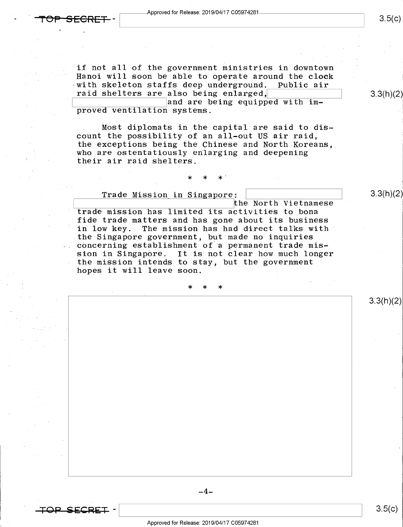if not all of the government ministries in downtown Hanoi will soon be able to operate around the clock<br>with skeleton staffs deep underground. Public air  $\nu$  with skeleton staffs deep underground. raid shelters are also being enlarged, The man and S.3(h)(2)

and are being equipped with  $im$ proved ventilation systems.

.Most diplomats in the capital are said to discount the possibility of an all-out US air raid, \* the exceptions being the Chinese and North-Koreans, who are ostentatiously enlarging and deepening their air raid shelters.

- and the set of  $\mathbb{X}$  and  $\mathbb{X}$  and  $\mathbb{X}$ 

Trade Mission in Singapore: \ \ 31NhX2) \ the North Vietnamese ' trade mission has limited its activities to bona fide trade matters and has gone about its business<br>in low key. The mission has had direct talks with The mission has had direct talks with the Singapore government, but made no inquiries concerning establishment of a permanent trade mission in Singapore. It is not clear how much longer the mission intends to stay, but the government hopes it will leave soon.

>l< \* \*

 $-4-$ 



 $3.5(c)$ 

3.3(h)(2)

 $3.5(c)$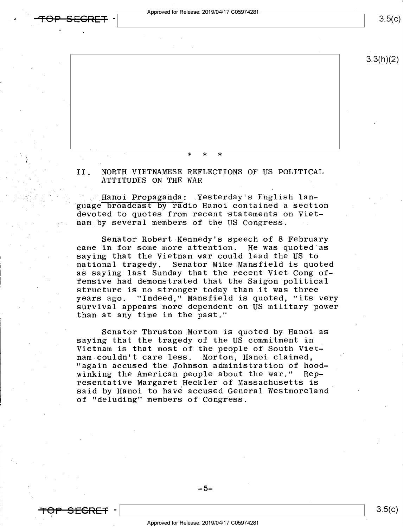pproved for Release: 2019/04/17 C05974281

 $3.5(c)$ 

 $3.3(h)(2)$ 

 $\star$   $\star$   $\star$   $\star$ 

II. NORTH VIETNAMESE REFLECTIONS OF US POLITICAL ATTITUDES ON THE WAR

Sterday's English lan-<br>guage broadcast by radio Hanoi contained a section devoted to quotes from recent statements on Viet nam by several members of the US Congress.

Senator Robert-Kennedy's speech of 8 February came in for some more attention. He was quoted as saying that the Vietnam war could lead the US to national tragedy. Senator Mike Mansfield is quoted as saying last Sunday that the recent Viet Cong offensive had demonstrated that the Saigon political structure is no stronger today than it was three years ago. "Indeed," Mansfield is quoted, "its very survival appears more dependent on US military power than at any time in the past."

Senator Thruston Morton is quoted by Hanoi as saying that the tragedy of the US commitment in Vietnam is that most of the people of South Viet-<br>nam couldn't care less. Morton, Hanoi claimed, "again accused the Johnson administration of hoodwinking the American people about the war." Representative Margaret Heckler of Massachusetts is ' said by Hanoi to have accused General Westmoreland of "deluding" members of Congress.



a

 $3.5(c)$